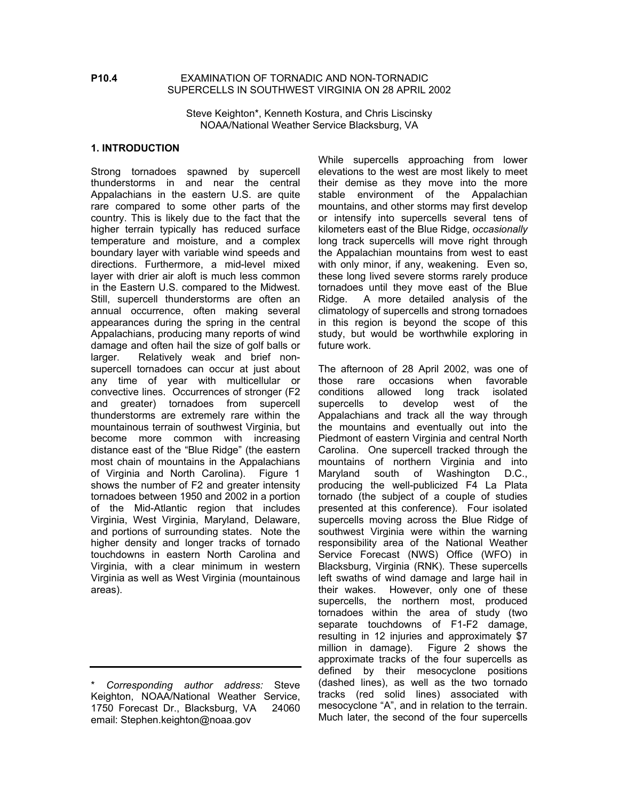#### **P10.4** EXAMINATION OF TORNADIC AND NON-TORNADIC SUPERCELLS IN SOUTHWEST VIRGINIA ON 28 APRIL 2002

Steve Keighton\*, Kenneth Kostura, and Chris Liscinsky NOAA/National Weather Service Blacksburg, VA

#### **1. INTRODUCTION**

Strong tornadoes spawned by supercell thunderstorms in and near the central Appalachians in the eastern U.S. are quite rare compared to some other parts of the country. This is likely due to the fact that the higher terrain typically has reduced surface temperature and moisture, and a complex boundary layer with variable wind speeds and directions. Furthermore, a mid-level mixed layer with drier air aloft is much less common in the Eastern U.S. compared to the Midwest. Still, supercell thunderstorms are often an annual occurrence, often making several appearances during the spring in the central Appalachians, producing many reports of wind damage and often hail the size of golf balls or larger. Relatively weak and brief nonsupercell tornadoes can occur at just about any time of year with multicellular or convective lines. Occurrences of stronger (F2 and greater) tornadoes from supercell thunderstorms are extremely rare within the mountainous terrain of southwest Virginia, but become more common with increasing distance east of the "Blue Ridge" (the eastern most chain of mountains in the Appalachians of Virginia and North Carolina). Figure 1 shows the number of F2 and greater intensity tornadoes between 1950 and 2002 in a portion of the Mid-Atlantic region that includes Virginia, West Virginia, Maryland, Delaware, and portions of surrounding states. Note the higher density and longer tracks of tornado touchdowns in eastern North Carolina and Virginia, with a clear minimum in western Virginia as well as West Virginia (mountainous areas).

While supercells approaching from lower elevations to the west are most likely to meet their demise as they move into the more stable environment of the Appalachian mountains, and other storms may first develop or intensify into supercells several tens of kilometers east of the Blue Ridge, *occasionally* long track supercells will move right through the Appalachian mountains from west to east with only minor, if any, weakening. Even so, these long lived severe storms rarely produce tornadoes until they move east of the Blue Ridge. A more detailed analysis of the climatology of supercells and strong tornadoes in this region is beyond the scope of this study, but would be worthwhile exploring in future work.

The afternoon of 28 April 2002, was one of those rare occasions when favorable conditions allowed long track isolated supercells to develop west of the Appalachians and track all the way through the mountains and eventually out into the Piedmont of eastern Virginia and central North Carolina. One supercell tracked through the mountains of northern Virginia and into Maryland south of Washington D.C., producing the well-publicized F4 La Plata tornado (the subject of a couple of studies presented at this conference). Four isolated supercells moving across the Blue Ridge of southwest Virginia were within the warning responsibility area of the National Weather Service Forecast (NWS) Office (WFO) in Blacksburg, Virginia (RNK). These supercells left swaths of wind damage and large hail in their wakes. However, only one of these supercells, the northern most, produced tornadoes within the area of study (two separate touchdowns of F1-F2 damage, resulting in 12 injuries and approximately \$7 million in damage). Figure 2 shows the approximate tracks of the four supercells as defined by their mesocyclone positions (dashed lines), as well as the two tornado tracks (red solid lines) associated with mesocyclone "A", and in relation to the terrain. Much later, the second of the four supercells

<sup>\*</sup> *Corresponding author address:* Steve Keighton, NOAA/National Weather Service, 1750 Forecast Dr., Blacksburg, VA 24060 email: Stephen.keighton@noaa.gov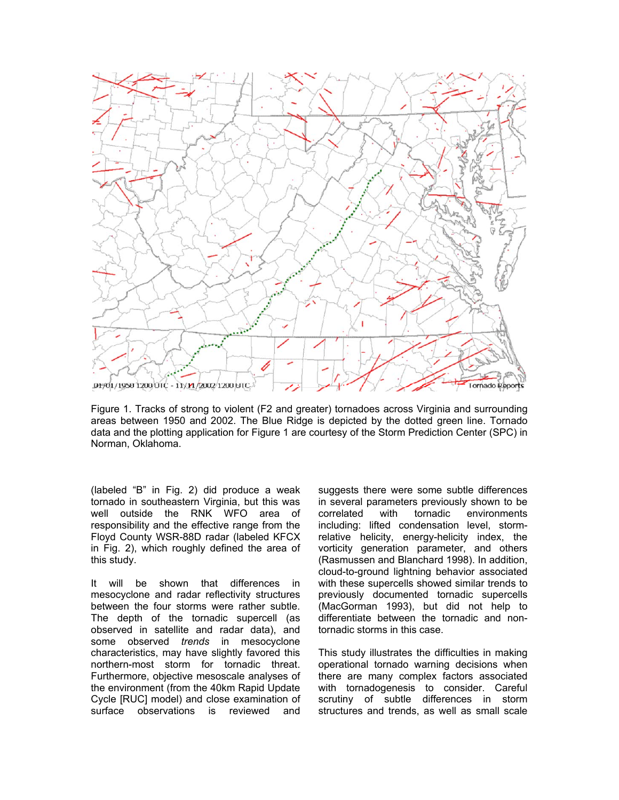

Figure 1. Tracks of strong to violent (F2 and greater) tornadoes across Virginia and surrounding areas between 1950 and 2002. The Blue Ridge is depicted by the dotted green line. Tornado data and the plotting application for Figure 1 are courtesy of the Storm Prediction Center (SPC) in Norman, Oklahoma.

(labeled "B" in Fig. 2) did produce a weak tornado in southeastern Virginia, but this was well outside the RNK WFO area of responsibility and the effective range from the Floyd County WSR-88D radar (labeled KFCX in Fig. 2), which roughly defined the area of this study.

It will be shown that differences in mesocyclone and radar reflectivity structures between the four storms were rather subtle. The depth of the tornadic supercell (as observed in satellite and radar data), and some observed *trends* in mesocyclone characteristics, may have slightly favored this northern-most storm for tornadic threat. Furthermore, objective mesoscale analyses of the environment (from the 40km Rapid Update Cycle [RUC] model) and close examination of surface observations is reviewed and

suggests there were some subtle differences in several parameters previously shown to be correlated with tornadic environments including: lifted condensation level, stormrelative helicity, energy-helicity index, the vorticity generation parameter, and others (Rasmussen and Blanchard 1998). In addition, cloud-to-ground lightning behavior associated with these supercells showed similar trends to previously documented tornadic supercells (MacGorman 1993), but did not help to differentiate between the tornadic and nontornadic storms in this case.

This study illustrates the difficulties in making operational tornado warning decisions when there are many complex factors associated with tornadogenesis to consider. Careful scrutiny of subtle differences in storm structures and trends, as well as small scale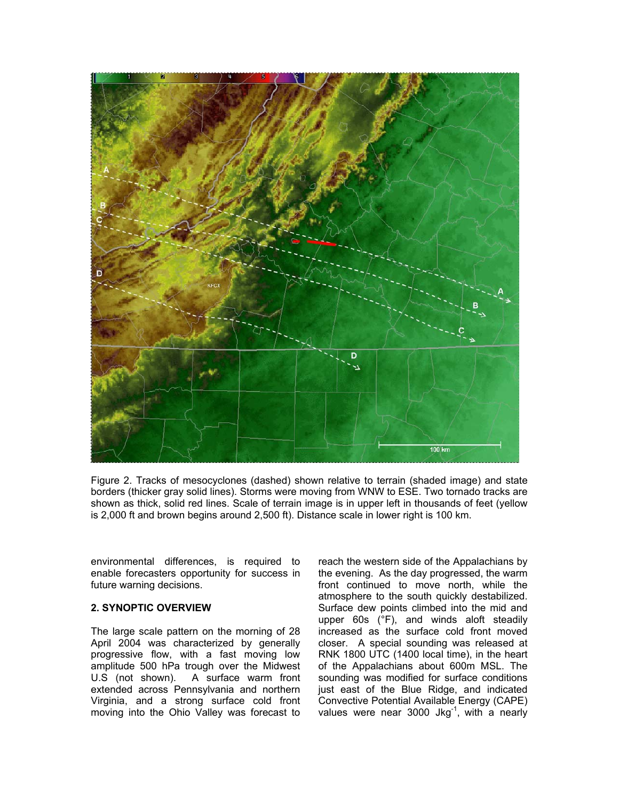

Figure 2. Tracks of mesocyclones (dashed) shown relative to terrain (shaded image) and state borders (thicker gray solid lines). Storms were moving from WNW to ESE. Two tornado tracks are shown as thick, solid red lines. Scale of terrain image is in upper left in thousands of feet (yellow is 2,000 ft and brown begins around 2,500 ft). Distance scale in lower right is 100 km.

environmental differences, is required to enable forecasters opportunity for success in future warning decisions.

### **2. SYNOPTIC OVERVIEW**

The large scale pattern on the morning of 28 April 2004 was characterized by generally progressive flow, with a fast moving low amplitude 500 hPa trough over the Midwest U.S (not shown). A surface warm front extended across Pennsylvania and northern Virginia, and a strong surface cold front moving into the Ohio Valley was forecast to reach the western side of the Appalachians by the evening. As the day progressed, the warm front continued to move north, while the atmosphere to the south quickly destabilized. Surface dew points climbed into the mid and upper 60s (°F), and winds aloft steadily increased as the surface cold front moved closer. A special sounding was released at RNK 1800 UTC (1400 local time), in the heart of the Appalachians about 600m MSL. The sounding was modified for surface conditions just east of the Blue Ridge, and indicated Convective Potential Available Energy (CAPE) values were near 3000 Jkg $^{-1}$ , with a nearly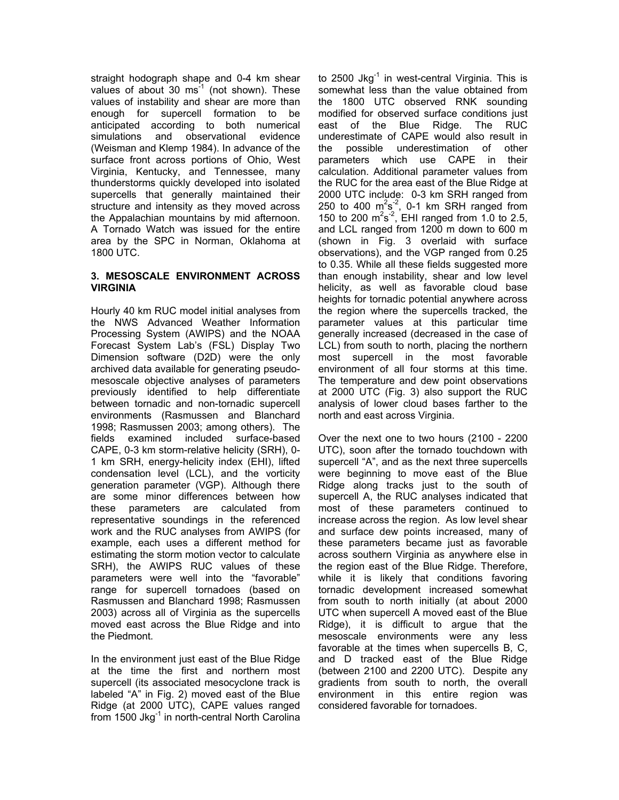straight hodograph shape and 0-4 km shear values of about 30  $\text{ms}^{-1}$  (not shown). These values of instability and shear are more than enough for supercell formation to be anticipated according to both numerical simulations and observational evidence (Weisman and Klemp 1984). In advance of the surface front across portions of Ohio, West Virginia, Kentucky, and Tennessee, many thunderstorms quickly developed into isolated supercells that generally maintained their structure and intensity as they moved across the Appalachian mountains by mid afternoon. A Tornado Watch was issued for the entire area by the SPC in Norman, Oklahoma at 1800 UTC.

## **3. MESOSCALE ENVIRONMENT ACROSS VIRGINIA**

Hourly 40 km RUC model initial analyses from the NWS Advanced Weather Information Processing System (AWIPS) and the NOAA Forecast System Lab's (FSL) Display Two Dimension software (D2D) were the only archived data available for generating pseudomesoscale objective analyses of parameters previously identified to help differentiate between tornadic and non-tornadic supercell environments (Rasmussen and Blanchard 1998; Rasmussen 2003; among others). The fields examined included surface-based CAPE, 0-3 km storm-relative helicity (SRH), 0- 1 km SRH, energy-helicity index (EHI), lifted condensation level (LCL), and the vorticity generation parameter (VGP). Although there are some minor differences between how these parameters are calculated from representative soundings in the referenced work and the RUC analyses from AWIPS (for example, each uses a different method for estimating the storm motion vector to calculate SRH), the AWIPS RUC values of these parameters were well into the "favorable" range for supercell tornadoes (based on Rasmussen and Blanchard 1998; Rasmussen 2003) across all of Virginia as the supercells moved east across the Blue Ridge and into the Piedmont.

In the environment just east of the Blue Ridge at the time the first and northern most supercell (its associated mesocyclone track is labeled "A" in Fig. 2) moved east of the Blue Ridge (at 2000 UTC), CAPE values ranged from 1500 Jkg $^{-1}$  in north-central North Carolina to 2500 Jkg $^{-1}$  in west-central Virginia. This is somewhat less than the value obtained from the 1800 UTC observed RNK sounding modified for observed surface conditions just east of the Blue Ridge. The RUC underestimate of CAPE would also result in the possible underestimation of other parameters which use CAPE in their calculation. Additional parameter values from the RUC for the area east of the Blue Ridge at 2000 UTC include: 0-3 km SRH ranged from 250 to 400  $m^2s^2$ , 0-1 km SRH ranged from 150 to 200  $\text{m}^2\text{s}^{-2}$ , EHI ranged from 1.0 to 2.5, and LCL ranged from 1200 m down to 600 m (shown in Fig. 3 overlaid with surface observations), and the VGP ranged from 0.25 to 0.35. While all these fields suggested more than enough instability, shear and low level helicity, as well as favorable cloud base heights for tornadic potential anywhere across the region where the supercells tracked, the parameter values at this particular time generally increased (decreased in the case of LCL) from south to north, placing the northern most supercell in the most favorable environment of all four storms at this time. The temperature and dew point observations at 2000 UTC (Fig. 3) also support the RUC analysis of lower cloud bases farther to the north and east across Virginia.

Over the next one to two hours (2100 - 2200 UTC), soon after the tornado touchdown with supercell "A", and as the next three supercells were beginning to move east of the Blue Ridge along tracks just to the south of supercell A, the RUC analyses indicated that most of these parameters continued to increase across the region. As low level shear and surface dew points increased, many of these parameters became just as favorable across southern Virginia as anywhere else in the region east of the Blue Ridge. Therefore, while it is likely that conditions favoring tornadic development increased somewhat from south to north initially (at about 2000 UTC when supercell A moved east of the Blue Ridge), it is difficult to argue that the mesoscale environments were any less favorable at the times when supercells B, C, and D tracked east of the Blue Ridge (between 2100 and 2200 UTC). Despite any gradients from south to north, the overall environment in this entire region was considered favorable for tornadoes.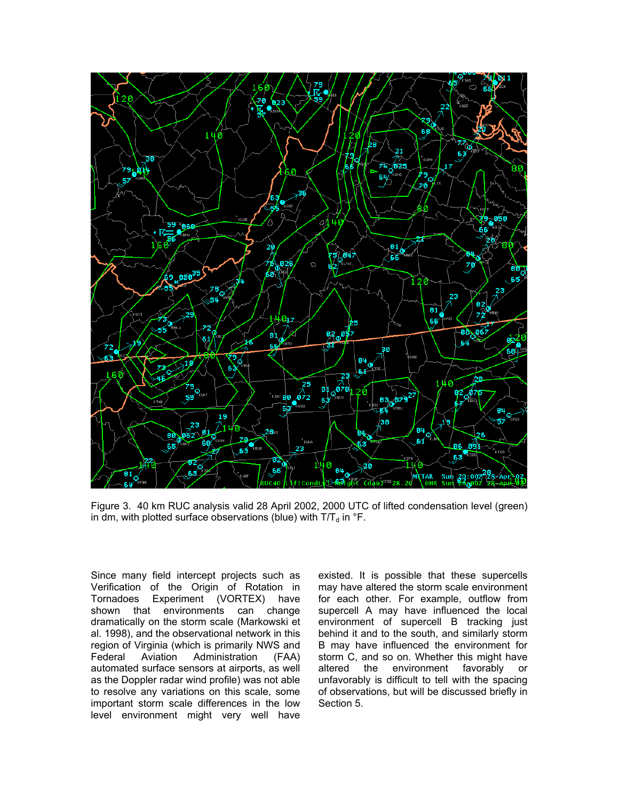

Figure 3. 40 km RUC analysis valid 28 April 2002, 2000 UTC of lifted condensation level (green) in dm, with plotted surface observations (blue) with  $T/T_d$  in  ${}^{\circ}$ F.

Since many field intercept projects such as Verification of the Origin of Rotation in Tornadoes Experiment (VORTEX) have shown that environments can change dramatically on the storm scale (Markowski et al. 1998), and the observational network in this region of Virginia (which is primarily NWS and Federal Aviation Administration (FAA) automated surface sensors at airports, as well as the Doppler radar wind profile) was not able to resolve any variations on this scale, some important storm scale differences in the low level environment might very well have

existed. It is possible that these supercells may have altered the storm scale environment for each other. For example, outflow from supercell A may have influenced the local environment of supercell B tracking just behind it and to the south, and similarly storm B may have influenced the environment for storm C, and so on. Whether this might have altered the environment favorably or unfavorably is difficult to tell with the spacing of observations, but will be discussed briefly in Section 5.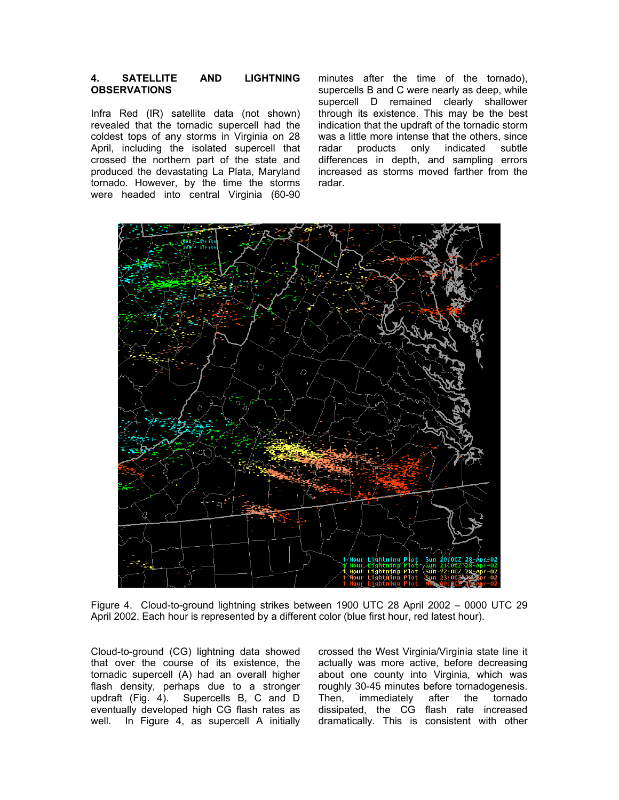### **4. SATELLITE AND LIGHTNING OBSERVATIONS**

Infra Red (IR) satellite data (not shown) revealed that the tornadic supercell had the coldest tops of any storms in Virginia on 28 April, including the isolated supercell that crossed the northern part of the state and produced the devastating La Plata, Maryland tornado. However, by the time the storms were headed into central Virginia (60-90

minutes after the time of the tornado), supercells B and C were nearly as deep, while supercell D remained clearly shallower through its existence. This may be the best indication that the updraft of the tornadic storm was a little more intense that the others, since radar products only indicated subtle differences in depth, and sampling errors increased as storms moved farther from the radar.



Figure 4. Cloud-to-ground lightning strikes between 1900 UTC 28 April 2002 – 0000 UTC 29 April 2002. Each hour is represented by a different color (blue first hour, red latest hour).

Cloud-to-ground (CG) lightning data showed that over the course of its existence, the tornadic supercell (A) had an overall higher flash density, perhaps due to a stronger updraft (Fig. 4). Supercells B, C and D eventually developed high CG flash rates as well. In Figure 4, as supercell A initially crossed the West Virginia/Virginia state line it actually was more active, before decreasing about one county into Virginia, which was roughly 30-45 minutes before tornadogenesis. Then, immediately after the tornado dissipated, the CG flash rate increased dramatically. This is consistent with other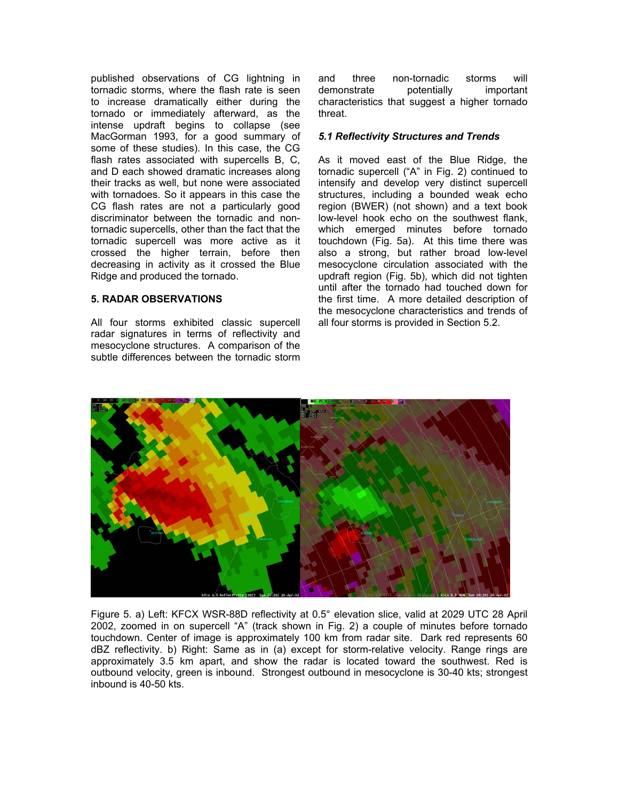published observations of CG lightning in tornadic storms, where the flash rate is seen to increase dramatically either during the tornado or immediately afterward, as the intense updraft begins to collapse (see MacGorman 1993, for a good summary of some of these studies). In this case, the CG flash rates associated with supercells B, C, and D each showed dramatic increases along their tracks as well, but none were associated with tornadoes. So it appears in this case the CG flash rates are not a particularly good discriminator between the tornadic and nontornadic supercells, other than the fact that the tornadic supercell was more active as it crossed the higher terrain, before then decreasing in activity as it crossed the Blue Ridge and produced the tornado.

# **5. RADAR OBSERVATIONS**

All four storms exhibited classic supercell radar signatures in terms of reflectivity and mesocyclone structures. A comparison of the subtle differences between the tornadic storm and three non-tornadic storms will demonstrate potentially important characteristics that suggest a higher tornado threat.

# *5.1 Reflectivity Structures and Trends*

As it moved east of the Blue Ridge, the tornadic supercell ("A" in Fig. 2) continued to intensify and develop very distinct supercell structures, including a bounded weak echo region (BWER) (not shown) and a text book low-level hook echo on the southwest flank, which emerged minutes before tornado touchdown (Fig. 5a). At this time there was also a strong, but rather broad low-level mesocyclone circulation associated with the updraft region (Fig. 5b), which did not tighten until after the tornado had touched down for the first time. A more detailed description of the mesocyclone characteristics and trends of all four storms is provided in Section 5.2.



Figure 5. a) Left: KFCX WSR-88D reflectivity at 0.5° elevation slice, valid at 2029 UTC 28 April 2002, zoomed in on supercell "A" (track shown in Fig. 2) a couple of minutes before tornado touchdown. Center of image is approximately 100 km from radar site. Dark red represents 60 dBZ reflectivity. b) Right: Same as in (a) except for storm-relative velocity. Range rings are approximately 3.5 km apart, and show the radar is located toward the southwest. Red is outbound velocity, green is inbound. Strongest outbound in mesocyclone is 30-40 kts; strongest inbound is 40-50 kts.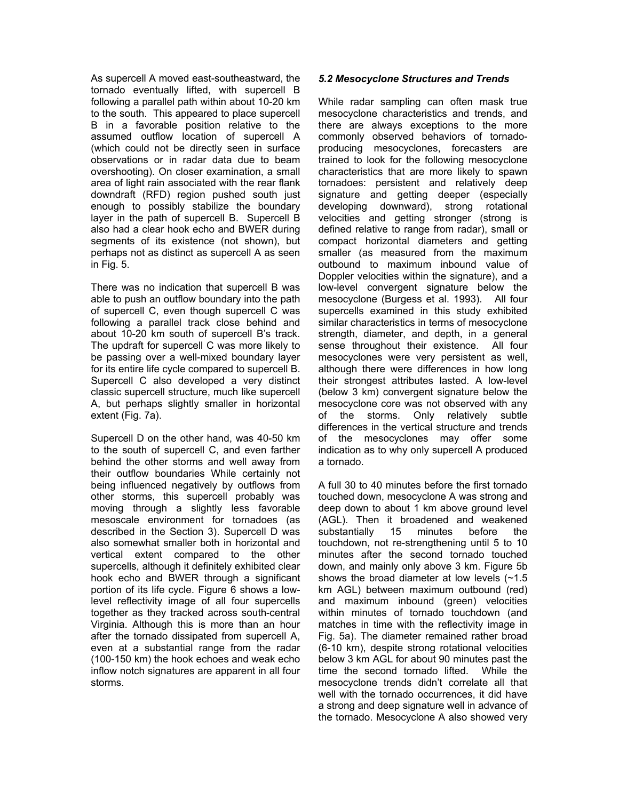As supercell A moved east-southeastward, the tornado eventually lifted, with supercell B following a parallel path within about 10-20 km to the south. This appeared to place supercell B in a favorable position relative to the assumed outflow location of supercell A (which could not be directly seen in surface observations or in radar data due to beam overshooting). On closer examination, a small area of light rain associated with the rear flank downdraft (RFD) region pushed south just enough to possibly stabilize the boundary layer in the path of supercell B. Supercell B also had a clear hook echo and BWER during segments of its existence (not shown), but perhaps not as distinct as supercell A as seen in Fig. 5.

There was no indication that supercell B was able to push an outflow boundary into the path of supercell C, even though supercell C was following a parallel track close behind and about 10-20 km south of supercell B's track. The updraft for supercell C was more likely to be passing over a well-mixed boundary layer for its entire life cycle compared to supercell B. Supercell C also developed a very distinct classic supercell structure, much like supercell A, but perhaps slightly smaller in horizontal extent (Fig. 7a).

Supercell D on the other hand, was 40-50 km to the south of supercell C, and even farther behind the other storms and well away from their outflow boundaries While certainly not being influenced negatively by outflows from other storms, this supercell probably was moving through a slightly less favorable mesoscale environment for tornadoes (as described in the Section 3). Supercell D was also somewhat smaller both in horizontal and vertical extent compared to the other supercells, although it definitely exhibited clear hook echo and BWER through a significant portion of its life cycle. Figure 6 shows a lowlevel reflectivity image of all four supercells together as they tracked across south-central Virginia. Although this is more than an hour after the tornado dissipated from supercell A, even at a substantial range from the radar (100-150 km) the hook echoes and weak echo inflow notch signatures are apparent in all four storms.

# *5.2 Mesocyclone Structures and Trends*

While radar sampling can often mask true mesocyclone characteristics and trends, and there are always exceptions to the more commonly observed behaviors of tornadoproducing mesocyclones, forecasters are trained to look for the following mesocyclone characteristics that are more likely to spawn tornadoes: persistent and relatively deep signature and getting deeper (especially developing downward), strong rotational velocities and getting stronger (strong is defined relative to range from radar), small or compact horizontal diameters and getting smaller (as measured from the maximum outbound to maximum inbound value of Doppler velocities within the signature), and a low-level convergent signature below the mesocyclone (Burgess et al. 1993). All four supercells examined in this study exhibited similar characteristics in terms of mesocyclone strength, diameter, and depth, in a general sense throughout their existence. All four mesocyclones were very persistent as well, although there were differences in how long their strongest attributes lasted. A low-level (below 3 km) convergent signature below the mesocyclone core was not observed with any of the storms. Only relatively subtle differences in the vertical structure and trends of the mesocyclones may offer some indication as to why only supercell A produced a tornado.

A full 30 to 40 minutes before the first tornado touched down, mesocyclone A was strong and deep down to about 1 km above ground level (AGL). Then it broadened and weakened substantially 15 minutes before the touchdown, not re-strengthening until 5 to 10 minutes after the second tornado touched down, and mainly only above 3 km. Figure 5b shows the broad diameter at low levels (~1.5 km AGL) between maximum outbound (red) and maximum inbound (green) velocities within minutes of tornado touchdown (and matches in time with the reflectivity image in Fig. 5a). The diameter remained rather broad (6-10 km), despite strong rotational velocities below 3 km AGL for about 90 minutes past the time the second tornado lifted. While the mesocyclone trends didn't correlate all that well with the tornado occurrences, it did have a strong and deep signature well in advance of the tornado. Mesocyclone A also showed very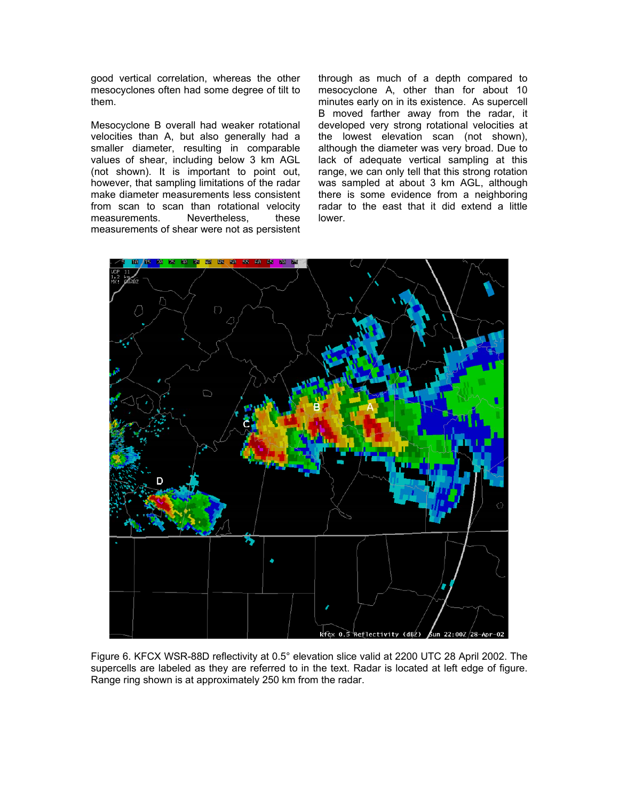good vertical correlation, whereas the other mesocyclones often had some degree of tilt to them.

Mesocyclone B overall had weaker rotational velocities than A, but also generally had a smaller diameter, resulting in comparable values of shear, including below 3 km AGL (not shown). It is important to point out, however, that sampling limitations of the radar make diameter measurements less consistent from scan to scan than rotational velocity<br>measurements. Nevertheless. these measurements. Nevertheless, measurements of shear were not as persistent

through as much of a depth compared to mesocyclone A, other than for about 10 minutes early on in its existence. As supercell B moved farther away from the radar, it developed very strong rotational velocities at the lowest elevation scan (not shown), although the diameter was very broad. Due to lack of adequate vertical sampling at this range, we can only tell that this strong rotation was sampled at about 3 km AGL, although there is some evidence from a neighboring radar to the east that it did extend a little lower.



Figure 6. KFCX WSR-88D reflectivity at 0.5° elevation slice valid at 2200 UTC 28 April 2002. The supercells are labeled as they are referred to in the text. Radar is located at left edge of figure. Range ring shown is at approximately 250 km from the radar.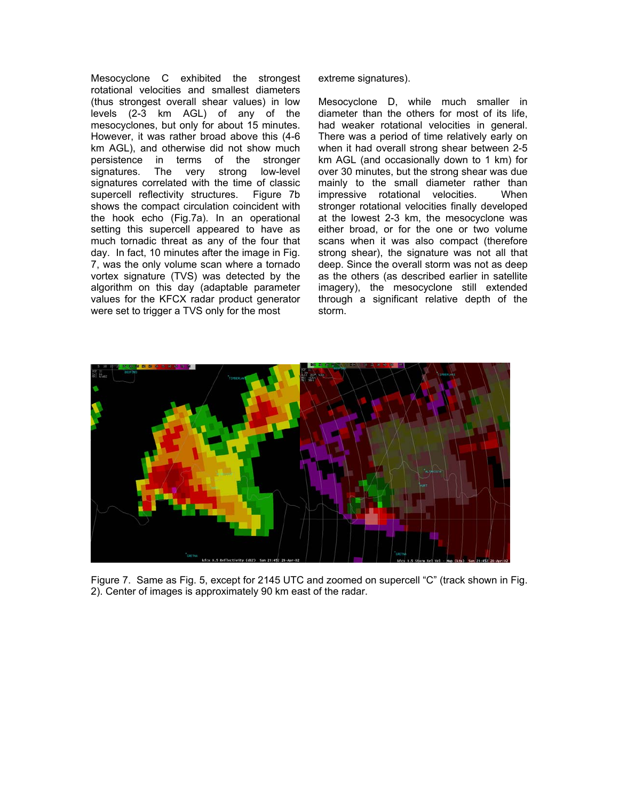Mesocyclone C exhibited the strongest rotational velocities and smallest diameters (thus strongest overall shear values) in low levels (2-3 km AGL) of any of the mesocyclones, but only for about 15 minutes. However, it was rather broad above this (4-6 km AGL), and otherwise did not show much persistence in terms of the stronger signatures. The very strong low-level signatures correlated with the time of classic supercell reflectivity structures. Figure 7b shows the compact circulation coincident with the hook echo (Fig.7a). In an operational setting this supercell appeared to have as much tornadic threat as any of the four that day. In fact, 10 minutes after the image in Fig. 7, was the only volume scan where a tornado vortex signature (TVS) was detected by the algorithm on this day (adaptable parameter values for the KFCX radar product generator were set to trigger a TVS only for the most

extreme signatures).

Mesocyclone D, while much smaller in diameter than the others for most of its life, had weaker rotational velocities in general. There was a period of time relatively early on when it had overall strong shear between 2-5 km AGL (and occasionally down to 1 km) for over 30 minutes, but the strong shear was due mainly to the small diameter rather than impressive rotational velocities. When stronger rotational velocities finally developed at the lowest 2-3 km, the mesocyclone was either broad, or for the one or two volume scans when it was also compact (therefore strong shear), the signature was not all that deep. Since the overall storm was not as deep as the others (as described earlier in satellite imagery), the mesocyclone still extended through a significant relative depth of the storm.



Figure 7. Same as Fig. 5, except for 2145 UTC and zoomed on supercell "C" (track shown in Fig. 2). Center of images is approximately 90 km east of the radar.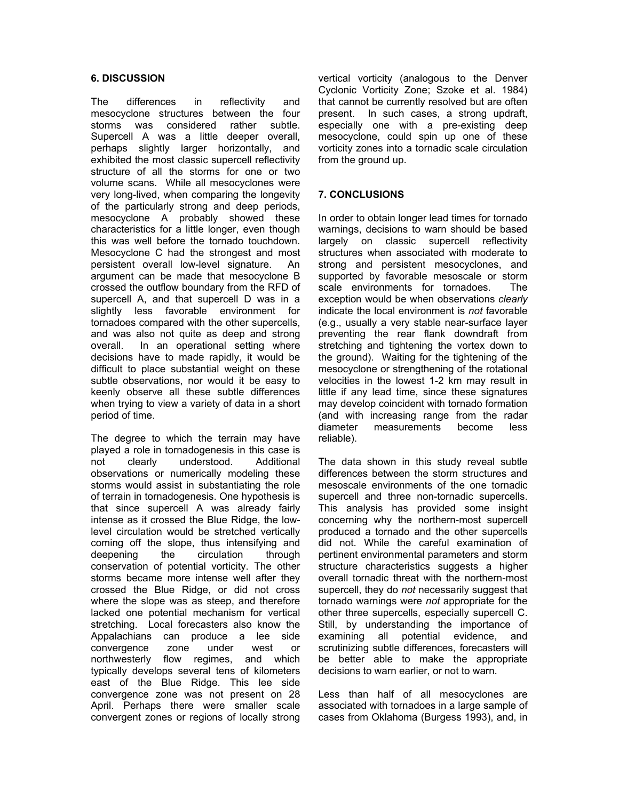## **6. DISCUSSION**

The differences in reflectivity and mesocyclone structures between the four storms was considered rather subtle. Supercell A was a little deeper overall, perhaps slightly larger horizontally, and exhibited the most classic supercell reflectivity structure of all the storms for one or two volume scans. While all mesocyclones were very long-lived, when comparing the longevity of the particularly strong and deep periods, mesocyclone A probably showed these characteristics for a little longer, even though this was well before the tornado touchdown. Mesocyclone C had the strongest and most persistent overall low-level signature. An argument can be made that mesocyclone B crossed the outflow boundary from the RFD of supercell A, and that supercell D was in a slightly less favorable environment for tornadoes compared with the other supercells, and was also not quite as deep and strong overall. In an operational setting where decisions have to made rapidly, it would be difficult to place substantial weight on these subtle observations, nor would it be easy to keenly observe all these subtle differences when trying to view a variety of data in a short period of time.

The degree to which the terrain may have played a role in tornadogenesis in this case is not clearly understood. Additional observations or numerically modeling these storms would assist in substantiating the role of terrain in tornadogenesis. One hypothesis is that since supercell A was already fairly intense as it crossed the Blue Ridge, the lowlevel circulation would be stretched vertically coming off the slope, thus intensifying and deepening the circulation through conservation of potential vorticity. The other storms became more intense well after they crossed the Blue Ridge, or did not cross where the slope was as steep, and therefore lacked one potential mechanism for vertical stretching. Local forecasters also know the Appalachians can produce a lee side convergence zone under west or northwesterly flow regimes, and which typically develops several tens of kilometers east of the Blue Ridge. This lee side convergence zone was not present on 28 April. Perhaps there were smaller scale convergent zones or regions of locally strong vertical vorticity (analogous to the Denver Cyclonic Vorticity Zone; Szoke et al. 1984) that cannot be currently resolved but are often present. In such cases, a strong updraft, especially one with a pre-existing deep mesocyclone, could spin up one of these vorticity zones into a tornadic scale circulation from the ground up.

# **7. CONCLUSIONS**

In order to obtain longer lead times for tornado warnings, decisions to warn should be based largely on classic supercell reflectivity structures when associated with moderate to strong and persistent mesocyclones, and supported by favorable mesoscale or storm scale environments for tornadoes. The exception would be when observations *clearly* indicate the local environment is *not* favorable (e.g., usually a very stable near-surface layer preventing the rear flank downdraft from stretching and tightening the vortex down to the ground). Waiting for the tightening of the mesocyclone or strengthening of the rotational velocities in the lowest 1-2 km may result in little if any lead time, since these signatures may develop coincident with tornado formation (and with increasing range from the radar diameter measurements become less reliable).

The data shown in this study reveal subtle differences between the storm structures and mesoscale environments of the one tornadic supercell and three non-tornadic supercells. This analysis has provided some insight concerning why the northern-most supercell produced a tornado and the other supercells did not. While the careful examination of pertinent environmental parameters and storm structure characteristics suggests a higher overall tornadic threat with the northern-most supercell, they do *not* necessarily suggest that tornado warnings were *not* appropriate for the other three supercells, especially supercell C. Still, by understanding the importance of examining all potential evidence, and scrutinizing subtle differences, forecasters will be better able to make the appropriate decisions to warn earlier, or not to warn.

Less than half of all mesocyclones are associated with tornadoes in a large sample of cases from Oklahoma (Burgess 1993), and, in